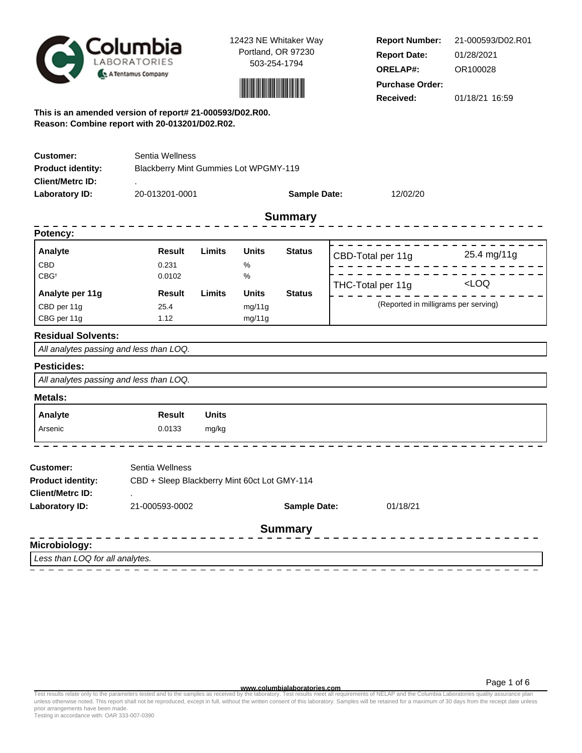



**Report Number: Report Date: ORELAP#:** 01/28/2021 OR100028 **Received:** 01/18/21 16:59 **Purchase Order:** 21-000593/D02.R01

**This is an amended version of report# 21-000593/D02.R00. Reason: Combine report with 20-013201/D02.R02.**

| <b>Customer:</b>                                    | Sentia Wellness                              |               |              |                     |                   |                                      |  |  |  |
|-----------------------------------------------------|----------------------------------------------|---------------|--------------|---------------------|-------------------|--------------------------------------|--|--|--|
| <b>Product identity:</b><br><b>Client/Metrc ID:</b> | Blackberry Mint Gummies Lot WPGMY-119        |               |              |                     |                   |                                      |  |  |  |
| Laboratory ID:                                      | 20-013201-0001                               |               |              | <b>Sample Date:</b> | 12/02/20          |                                      |  |  |  |
|                                                     |                                              |               |              | <b>Summary</b>      |                   |                                      |  |  |  |
| Potency:                                            |                                              |               |              |                     |                   |                                      |  |  |  |
| Analyte                                             | <b>Result</b>                                | Limits        | <b>Units</b> | <b>Status</b>       | CBD-Total per 11g | 25.4 mg/11g                          |  |  |  |
| CBD                                                 | 0.231                                        |               | $\%$         |                     |                   |                                      |  |  |  |
| $CBG^{\dagger}$                                     | 0.0102                                       |               | $\%$         |                     | THC-Total per 11g | LOO                                  |  |  |  |
| Analyte per 11g                                     | <b>Result</b>                                | <b>Limits</b> | <b>Units</b> | <b>Status</b>       |                   |                                      |  |  |  |
| CBD per 11g                                         | 25.4                                         |               | mg/11g       |                     |                   | (Reported in milligrams per serving) |  |  |  |
| CBG per 11g                                         | 1.12                                         |               | mg/11g       |                     |                   |                                      |  |  |  |
| <b>Residual Solvents:</b>                           |                                              |               |              |                     |                   |                                      |  |  |  |
| All analytes passing and less than LOQ.             |                                              |               |              |                     |                   |                                      |  |  |  |
| <b>Pesticides:</b>                                  |                                              |               |              |                     |                   |                                      |  |  |  |
| All analytes passing and less than LOQ.             |                                              |               |              |                     |                   |                                      |  |  |  |
| Metals:                                             |                                              |               |              |                     |                   |                                      |  |  |  |
| Analyte                                             | <b>Result</b>                                | <b>Units</b>  |              |                     |                   |                                      |  |  |  |
| Arsenic                                             | 0.0133                                       | mg/kg         |              |                     |                   |                                      |  |  |  |
| <b>Customer:</b>                                    | Sentia Wellness                              |               |              |                     |                   |                                      |  |  |  |
| <b>Product identity:</b>                            | CBD + Sleep Blackberry Mint 60ct Lot GMY-114 |               |              |                     |                   |                                      |  |  |  |
| <b>Client/Metrc ID:</b>                             |                                              |               |              |                     |                   |                                      |  |  |  |
| <b>Laboratory ID:</b>                               | 21-000593-0002                               |               |              | <b>Sample Date:</b> | 01/18/21          |                                      |  |  |  |
|                                                     |                                              |               |              | <b>Summary</b>      |                   |                                      |  |  |  |
| Microbiology:                                       |                                              |               |              |                     |                   |                                      |  |  |  |
| Less than LOQ for all analytes.                     |                                              |               |              |                     |                   |                                      |  |  |  |

**www.columbialaboratories.com**

Page 1 of 6

Test results relate only to the parameters tested and to the samples as received by the laboratory. Test results meet all requirements of NELAP and the Columbia Laboratories quality assurance plan<br>unless otherwise noted. T prior arrangements have been made.

Testing in accordance with: OAR 333-007-0390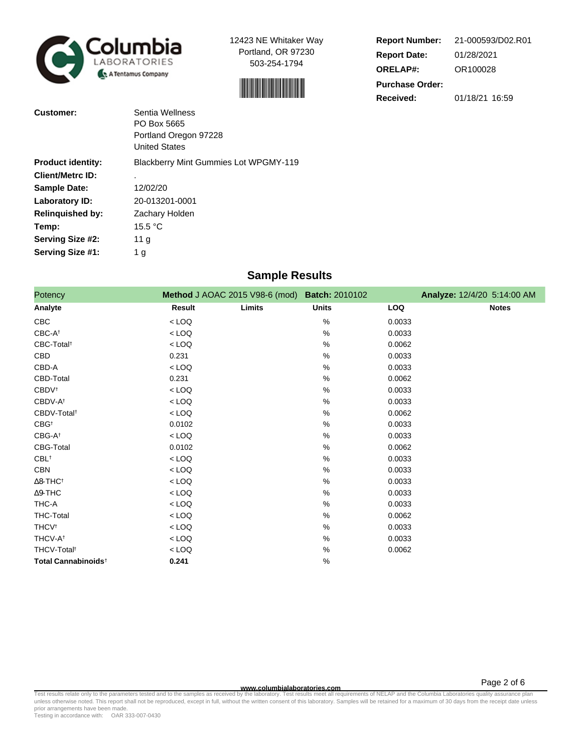



| <b>Report Number:</b>  | 21-000593/D02.R01 |
|------------------------|-------------------|
| <b>Report Date:</b>    | 01/28/2021        |
| <b>ORELAP#:</b>        | OR100028          |
| <b>Purchase Order:</b> |                   |
| Received:              | 01/18/21 16:59    |

| Customer:                | Sentia Wellness<br>PO Box 5665<br>Portland Oregon 97228<br><b>United States</b> |
|--------------------------|---------------------------------------------------------------------------------|
| <b>Product identity:</b> | <b>Blackberry Mint Gummies Lot WPGMY-119</b>                                    |
| <b>Client/Metrc ID:</b>  |                                                                                 |
| <b>Sample Date:</b>      | 12/02/20                                                                        |
| Laboratory ID:           | 20-013201-0001                                                                  |
| <b>Relinquished by:</b>  | Zachary Holden                                                                  |
| Temp:                    | 15.5 $\mathrm{^{\circ}C}$                                                       |
| Serving Size #2:         | 11 <sub>g</sub>                                                                 |
| Serving Size #1:         | 1 <sub>g</sub>                                                                  |

# **Sample Results**

| Potency                         |         | Method J AOAC 2015 V98-6 (mod) Batch: 2010102 |              |            | Analyze: 12/4/20 5:14:00 AM |
|---------------------------------|---------|-----------------------------------------------|--------------|------------|-----------------------------|
| Analyte                         | Result  | Limits                                        | <b>Units</b> | <b>LOQ</b> | <b>Notes</b>                |
| CBC                             | $<$ LOQ |                                               | %            | 0.0033     |                             |
| CBC-At                          | $<$ LOQ |                                               | %            | 0.0033     |                             |
| CBC-Total <sup>t</sup>          | $<$ LOQ |                                               | %            | 0.0062     |                             |
| CBD                             | 0.231   |                                               | %            | 0.0033     |                             |
| CBD-A                           | $<$ LOQ |                                               | %            | 0.0033     |                             |
| CBD-Total                       | 0.231   |                                               | %            | 0.0062     |                             |
| <b>CBDV</b> <sup>†</sup>        | $<$ LOQ |                                               | %            | 0.0033     |                             |
| CBDV-At                         | $<$ LOQ |                                               | %            | 0.0033     |                             |
| CBDV-Total <sup>t</sup>         | $<$ LOQ |                                               | %            | 0.0062     |                             |
| $CBG^{\dagger}$                 | 0.0102  |                                               | %            | 0.0033     |                             |
| $CBG-A^{\dagger}$               | $<$ LOQ |                                               | %            | 0.0033     |                             |
| CBG-Total                       | 0.0102  |                                               | %            | 0.0062     |                             |
| $CBL^+$                         | $<$ LOQ |                                               | %            | 0.0033     |                             |
| <b>CBN</b>                      | $<$ LOQ |                                               | %            | 0.0033     |                             |
| $\Delta$ 8-THC <sup>+</sup>     | $<$ LOQ |                                               | %            | 0.0033     |                             |
| $\Delta$ 9-THC                  | $<$ LOQ |                                               | %            | 0.0033     |                             |
| THC-A                           | $<$ LOQ |                                               | %            | 0.0033     |                             |
| <b>THC-Total</b>                | $<$ LOQ |                                               | %            | 0.0062     |                             |
| <b>THCV</b> <sup>t</sup>        | $<$ LOQ |                                               | %            | 0.0033     |                             |
| THCV-A <sup>t</sup>             | $<$ LOQ |                                               | %            | 0.0033     |                             |
| THCV-Total <sup>t</sup>         | $<$ LOQ |                                               | %            | 0.0062     |                             |
| Total Cannabinoids <sup>+</sup> | 0.241   |                                               | %            |            |                             |

**WWW.columbialaboratories.com**<br>unless otherwise noted. This report shall not be reproduced, except in full, without the written consent of this laboratory. Samples will be retained for a maximum of 30 days from the receipt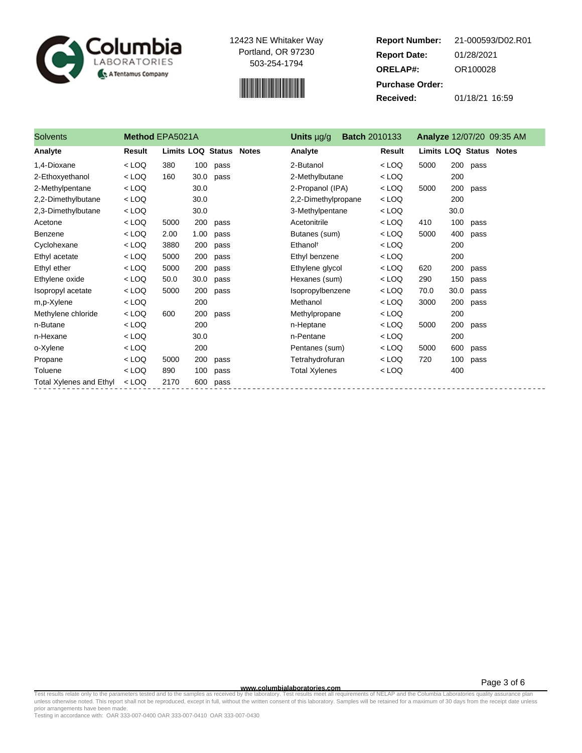



**Report Number: Report Date: ORELAP#:** 01/28/2021 OR100028 **Received:** 01/18/21 16:59 **Purchase Order:** 21-000593/D02.R01

| <b>Solvents</b>                | Method EPA5021A |                         |      |      | Units µg/g           | <b>Batch 2010133</b> |         |                                |      |      | Analyze 12/07/20 09:35 AM |
|--------------------------------|-----------------|-------------------------|------|------|----------------------|----------------------|---------|--------------------------------|------|------|---------------------------|
| Analyte                        | Result          | Limits LOQ Status Notes |      |      | Analyte              |                      | Result  | <b>Limits LOQ Status Notes</b> |      |      |                           |
| 1,4-Dioxane                    | $<$ LOQ         | 380                     | 100  | pass | 2-Butanol            |                      | $<$ LOQ | 5000                           | 200  | pass |                           |
| 2-Ethoxyethanol                | $<$ LOQ         | 160                     | 30.0 | pass | 2-Methylbutane       |                      | $<$ LOQ |                                | 200  |      |                           |
| 2-Methylpentane                | $<$ LOQ         |                         | 30.0 |      | 2-Propanol (IPA)     |                      | $<$ LOQ | 5000                           | 200  | pass |                           |
| 2,2-Dimethylbutane             | $<$ LOQ         |                         | 30.0 |      | 2,2-Dimethylpropane  |                      | $<$ LOQ |                                | 200  |      |                           |
| 2,3-Dimethylbutane             | $<$ LOQ         |                         | 30.0 |      | 3-Methylpentane      |                      | $<$ LOQ |                                | 30.0 |      |                           |
| Acetone                        | $<$ LOQ         | 5000                    | 200  | pass | Acetonitrile         |                      | $<$ LOQ | 410                            | 100  | pass |                           |
| Benzene                        | $<$ LOQ         | 2.00                    | 1.00 | pass | Butanes (sum)        |                      | $<$ LOQ | 5000                           | 400  | pass |                           |
| Cyclohexane                    | $<$ LOQ         | 3880                    | 200  | pass | Ethanol <sup>t</sup> |                      | $<$ LOQ |                                | 200  |      |                           |
| Ethyl acetate                  | $<$ LOQ         | 5000                    | 200  | pass | Ethyl benzene        |                      | $<$ LOQ |                                | 200  |      |                           |
| Ethyl ether                    | $<$ LOQ         | 5000                    | 200  | pass | Ethylene glycol      |                      | $<$ LOQ | 620                            | 200  | pass |                           |
| Ethylene oxide                 | $<$ LOQ         | 50.0                    | 30.0 | pass | Hexanes (sum)        |                      | $<$ LOQ | 290                            | 150  | pass |                           |
| Isopropyl acetate              | $<$ LOQ         | 5000                    | 200  | pass | Isopropylbenzene     |                      | $<$ LOQ | 70.0                           | 30.0 | pass |                           |
| m,p-Xylene                     | $<$ LOQ         |                         | 200  |      | Methanol             |                      | $<$ LOQ | 3000                           | 200  | pass |                           |
| Methylene chloride             | $<$ LOQ         | 600                     | 200  | pass | Methylpropane        |                      | $<$ LOQ |                                | 200  |      |                           |
| n-Butane                       | $<$ LOQ         |                         | 200  |      | n-Heptane            |                      | $<$ LOQ | 5000                           | 200  | pass |                           |
| n-Hexane                       | $<$ LOQ         |                         | 30.0 |      | n-Pentane            |                      | $<$ LOQ |                                | 200  |      |                           |
| o-Xylene                       | $<$ LOQ         |                         | 200  |      | Pentanes (sum)       |                      | $<$ LOQ | 5000                           | 600  | pass |                           |
| Propane                        | $<$ LOQ         | 5000                    | 200  | pass | Tetrahydrofuran      |                      | $<$ LOQ | 720                            | 100  | pass |                           |
| Toluene                        | $<$ LOQ         | 890                     | 100  | pass | <b>Total Xylenes</b> |                      | $<$ LOQ |                                | 400  |      |                           |
| <b>Total Xylenes and Ethyl</b> | $<$ LOQ         | 2170                    | 600  | pass |                      |                      |         |                                |      |      |                           |

**www.columbialaboratories.com**

Test results relate only to the parameters tested and to the samples as received by the laboratory. Test results meet all requirements of NELAP and the Columbia Laboratories quality assurance plan<br>unless otherwise noted. T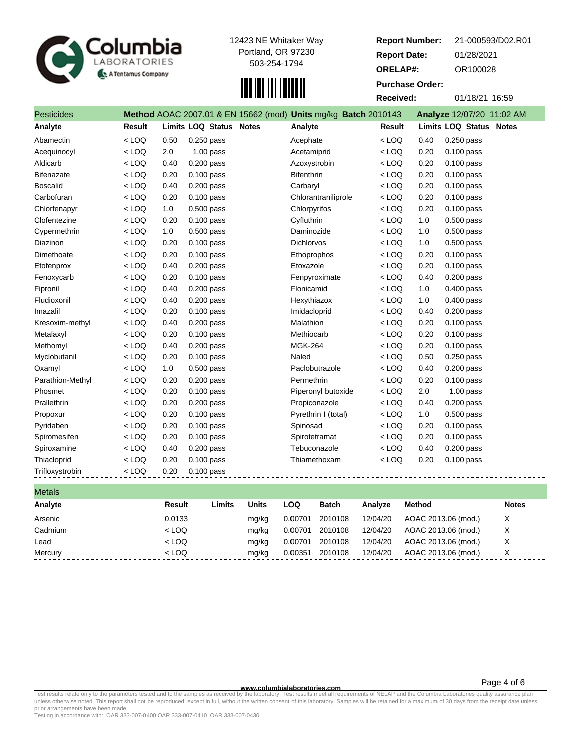



| <b>Report Number:</b>  | 21-000593/D02.R01         |
|------------------------|---------------------------|
| <b>Report Date:</b>    | 01/28/2021                |
| <b>ORELAP#:</b>        | OR100028                  |
| <b>Purchase Order:</b> |                           |
| Received:              | 01/18/21 16:59            |
| 10143                  | Analyze 12/07/20 11:02 AM |

| <b>Pesticides</b> |         |      |                         | Method AOAC 2007.01 & EN 15662 (mod) Units mg/kg Batch 2010143 |         |      | Analyze 12/07/20 11:02 AM |
|-------------------|---------|------|-------------------------|----------------------------------------------------------------|---------|------|---------------------------|
| Analyte           | Result  |      | Limits LOQ Status Notes | Analyte                                                        | Result  |      | Limits LOQ Status Notes   |
| Abamectin         | $<$ LOQ | 0.50 | $0.250$ pass            | Acephate                                                       | $<$ LOQ | 0.40 | 0.250 pass                |
| Acequinocyl       | $<$ LOQ | 2.0  | $1.00$ pass             | Acetamiprid                                                    | $<$ LOQ | 0.20 | $0.100$ pass              |
| Aldicarb          | $<$ LOQ | 0.40 | $0.200$ pass            | Azoxystrobin                                                   | $<$ LOQ | 0.20 | $0.100$ pass              |
| <b>Bifenazate</b> | $<$ LOQ | 0.20 | $0.100$ pass            | <b>Bifenthrin</b>                                              | $<$ LOQ | 0.20 | $0.100$ pass              |
| <b>Boscalid</b>   | $<$ LOQ | 0.40 | $0.200$ pass            | Carbaryl                                                       | $<$ LOQ | 0.20 | $0.100$ pass              |
| Carbofuran        | $<$ LOQ | 0.20 | $0.100$ pass            | Chlorantraniliprole                                            | $<$ LOQ | 0.20 | $0.100$ pass              |
| Chlorfenapyr      | $<$ LOQ | 1.0  | $0.500$ pass            | Chlorpyrifos                                                   | $<$ LOQ | 0.20 | 0.100 pass                |
| Clofentezine      | $<$ LOQ | 0.20 | 0.100 pass              | Cyfluthrin                                                     | $<$ LOQ | 1.0  | 0.500 pass                |
| Cypermethrin      | $<$ LOQ | 1.0  | $0.500$ pass            | Daminozide                                                     | $<$ LOQ | 1.0  | $0.500$ pass              |
| Diazinon          | $<$ LOQ | 0.20 | $0.100$ pass            | <b>Dichlorvos</b>                                              | $<$ LOQ | 1.0  | $0.500$ pass              |
| Dimethoate        | $<$ LOQ | 0.20 | $0.100$ pass            | Ethoprophos                                                    | $<$ LOQ | 0.20 | $0.100$ pass              |
| Etofenprox        | $<$ LOQ | 0.40 | $0.200$ pass            | Etoxazole                                                      | $<$ LOQ | 0.20 | 0.100 pass                |
| Fenoxycarb        | $<$ LOQ | 0.20 | $0.100$ pass            | Fenpyroximate                                                  | $<$ LOQ | 0.40 | $0.200$ pass              |
| Fipronil          | $<$ LOQ | 0.40 | $0.200$ pass            | Flonicamid                                                     | $<$ LOQ | 1.0  | $0.400$ pass              |
| Fludioxonil       | $<$ LOQ | 0.40 | $0.200$ pass            | Hexythiazox                                                    | $<$ LOQ | 1.0  | $0.400$ pass              |
| Imazalil          | $<$ LOQ | 0.20 | $0.100$ pass            | Imidacloprid                                                   | $<$ LOQ | 0.40 | $0.200$ pass              |
| Kresoxim-methyl   | $<$ LOQ | 0.40 | 0.200 pass              | Malathion                                                      | $<$ LOQ | 0.20 | 0.100 pass                |
| Metalaxyl         | $<$ LOQ | 0.20 | $0.100$ pass            | Methiocarb                                                     | $<$ LOQ | 0.20 | $0.100$ pass              |
| Methomyl          | $<$ LOQ | 0.40 | $0.200$ pass            | <b>MGK-264</b>                                                 | $<$ LOQ | 0.20 | $0.100$ pass              |
| Myclobutanil      | $<$ LOQ | 0.20 | $0.100$ pass            | Naled                                                          | $<$ LOQ | 0.50 | $0.250$ pass              |
| Oxamyl            | $<$ LOQ | 1.0  | $0.500$ pass            | Paclobutrazole                                                 | $<$ LOQ | 0.40 | $0.200$ pass              |
| Parathion-Methyl  | $<$ LOQ | 0.20 | $0.200$ pass            | Permethrin                                                     | $<$ LOQ | 0.20 | $0.100$ pass              |
| Phosmet           | $<$ LOQ | 0.20 | $0.100$ pass            | Piperonyl butoxide                                             | $<$ LOQ | 2.0  | $1.00$ pass               |
| Prallethrin       | $<$ LOQ | 0.20 | $0.200$ pass            | Propiconazole                                                  | $<$ LOQ | 0.40 | $0.200$ pass              |
| Propoxur          | $<$ LOQ | 0.20 | 0.100 pass              | Pyrethrin I (total)                                            | $<$ LOQ | 1.0  | 0.500 pass                |
| Pyridaben         | $<$ LOQ | 0.20 | $0.100$ pass            | Spinosad                                                       | $<$ LOQ | 0.20 | $0.100$ pass              |
| Spiromesifen      | $<$ LOQ | 0.20 | $0.100$ pass            | Spirotetramat                                                  | $<$ LOQ | 0.20 | $0.100$ pass              |
| Spiroxamine       | $<$ LOQ | 0.40 | $0.200$ pass            | Tebuconazole                                                   | $<$ LOQ | 0.40 | $0.200$ pass              |
| Thiacloprid       | $<$ LOQ | 0.20 | $0.100$ pass            | Thiamethoxam                                                   | $<$ LOQ | 0.20 | $0.100$ pass              |
| Trifloxystrobin   | $<$ LOQ | 0.20 | 0.100 pass              |                                                                |         |      |                           |
| <b>Metals</b>     |         |      |                         |                                                                |         |      |                           |

| Analyte | Result  | ∟imits | Units | <b>LOQ</b> | <b>Batch</b> | Analyze  | Method              | <b>Notes</b> |
|---------|---------|--------|-------|------------|--------------|----------|---------------------|--------------|
| Arsenic | 0.0133  |        | mg/kg | 0.00701    | 2010108      | 12/04/20 | AOAC 2013.06 (mod.) | X            |
| Cadmium | $<$ LOQ |        | mg/kg | 0.00701    | 2010108      | 12/04/20 | AOAC 2013.06 (mod.) | X            |
| Lead    | $<$ LOQ |        | mg/kg | 0.00701    | 2010108      | 12/04/20 | AOAC 2013.06 (mod.) | X            |
| Mercury | $<$ LOQ |        | mg/kg | 0.00351    | 2010108      | 12/04/20 | AOAC 2013.06 (mod.) | Х            |

### **www.columbialaboratories.com**

Test results relate only to the parameters tested and to the samples as received by the laboratory. Test results meet all requirements of NELAP and the Columbia Laboratories quality assurance plan<br>unless otherwise noted. T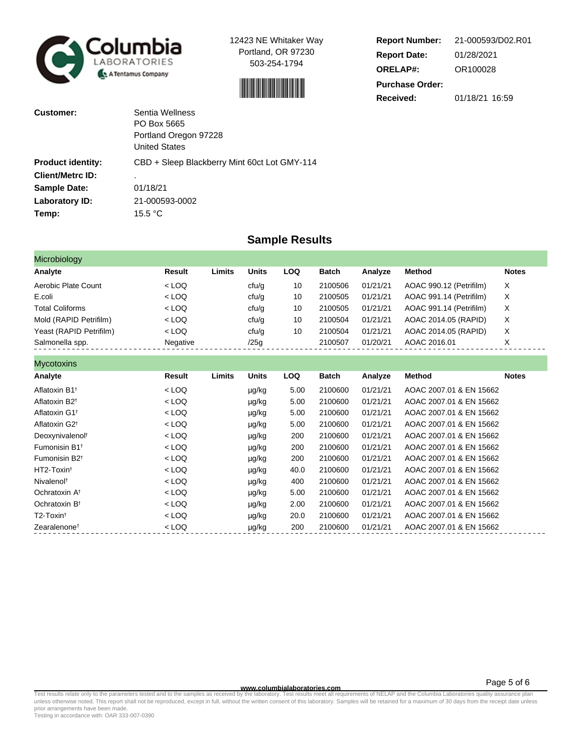



| <b>Report Number:</b>  | 21-000593/D02.R01 |
|------------------------|-------------------|
| <b>Report Date:</b>    | 01/28/2021        |
| <b>ORELAP#:</b>        | OR100028          |
| <b>Purchase Order:</b> |                   |
| Received:              | 01/18/21 16:59    |

| Customer:                | Sentia Wellness                              |
|--------------------------|----------------------------------------------|
|                          | PO Box 5665                                  |
|                          | Portland Oregon 97228                        |
|                          | <b>United States</b>                         |
| <b>Product identity:</b> | CBD + Sleep Blackberry Mint 60ct Lot GMY-114 |
| <b>Client/Metrc ID:</b>  | ٠                                            |
| <b>Sample Date:</b>      | 01/18/21                                     |
| Laboratory ID:           | 21-000593-0002                               |
| Temp:                    | 15.5 $\mathrm{^{\circ}C}$                    |

## **Sample Results**

| Microbiology            |          |        |       |     |              |          |                         |              |
|-------------------------|----------|--------|-------|-----|--------------|----------|-------------------------|--------------|
| Analyte                 | Result   | Limits | Units | LOQ | <b>Batch</b> | Analyze  | Method                  | <b>Notes</b> |
| Aerobic Plate Count     | $<$ LOQ  |        | cfu/g | 10  | 2100506      | 01/21/21 | AOAC 990.12 (Petrifilm) | X            |
| E.coli                  | $<$ LOQ  |        | cfu/g | 10  | 2100505      | 01/21/21 | AOAC 991.14 (Petrifilm) | X            |
| <b>Total Coliforms</b>  | $<$ LOQ  |        | cfu/g | 10  | 2100505      | 01/21/21 | AOAC 991.14 (Petrifilm) | X            |
| Mold (RAPID Petrifilm)  | $<$ LOQ  |        | cfu/g | 10  | 2100504      | 01/21/21 | AOAC 2014.05 (RAPID)    | X            |
| Yeast (RAPID Petrifilm) | $<$ LOQ  |        | cfu/g | 10  | 2100504      | 01/21/21 | AOAC 2014.05 (RAPID)    | X            |
| Salmonella spp.         | Negative |        | /25g  |     | 2100507      | 01/20/21 | AOAC 2016.01            | Χ            |

| <b>Mycotoxins</b>                    |         |        |              |      |         |          |                         |              |
|--------------------------------------|---------|--------|--------------|------|---------|----------|-------------------------|--------------|
| Analyte                              | Result  | Limits | <b>Units</b> | LOQ  | Batch   | Analyze  | <b>Method</b>           | <b>Notes</b> |
| Aflatoxin B1 <sup>+</sup>            | $<$ LOQ |        | µg/kg        | 5.00 | 2100600 | 01/21/21 | AOAC 2007.01 & EN 15662 |              |
| Aflatoxin B <sub>2<sup>t</sup></sub> | $<$ LOQ |        | µg/kg        | 5.00 | 2100600 | 01/21/21 | AOAC 2007.01 & EN 15662 |              |
| Aflatoxin G1 <sup>t</sup>            | $<$ LOQ |        | µg/kg        | 5.00 | 2100600 | 01/21/21 | AOAC 2007.01 & EN 15662 |              |
| Aflatoxin G2 <sup>+</sup>            | $<$ LOQ |        | µg/kg        | 5.00 | 2100600 | 01/21/21 | AOAC 2007.01 & EN 15662 |              |
| Deoxynivalenol <sup>t</sup>          | $<$ LOQ |        | µg/kg        | 200  | 2100600 | 01/21/21 | AOAC 2007.01 & EN 15662 |              |
| Fumonisin B1 <sup>+</sup>            | $<$ LOQ |        | µg/kg        | 200  | 2100600 | 01/21/21 | AOAC 2007.01 & EN 15662 |              |
| Fumonisin B <sub>2<sup>t</sup></sub> | $<$ LOQ |        | µg/kg        | 200  | 2100600 | 01/21/21 | AOAC 2007.01 & EN 15662 |              |
| HT2-Toxin <sup>t</sup>               | $<$ LOQ |        | µg/kg        | 40.0 | 2100600 | 01/21/21 | AOAC 2007.01 & EN 15662 |              |
| Nivalenol <sup>t</sup>               | $<$ LOQ |        | µg/kg        | 400  | 2100600 | 01/21/21 | AOAC 2007.01 & EN 15662 |              |
| Ochratoxin A <sup>t</sup>            | $<$ LOQ |        | µg/kg        | 5.00 | 2100600 | 01/21/21 | AOAC 2007.01 & EN 15662 |              |
| Ochratoxin B <sup>t</sup>            | $<$ LOQ |        | µg/kg        | 2.00 | 2100600 | 01/21/21 | AOAC 2007.01 & EN 15662 |              |
| T2-Toxin <sup>t</sup>                | $<$ LOQ |        | µg/kg        | 20.0 | 2100600 | 01/21/21 | AOAC 2007.01 & EN 15662 |              |
| Zearalenone <sup>t</sup>             | $<$ LOQ |        | µg/kg        | 200  | 2100600 | 01/21/21 | AOAC 2007.01 & EN 15662 |              |

Test results relate only to the parameters tested and to the samples as received by the laboratory. Test results meet all requirements of NELAP and the Columbia Laboratories quality assurance plan<br>unless otherwise noted. T